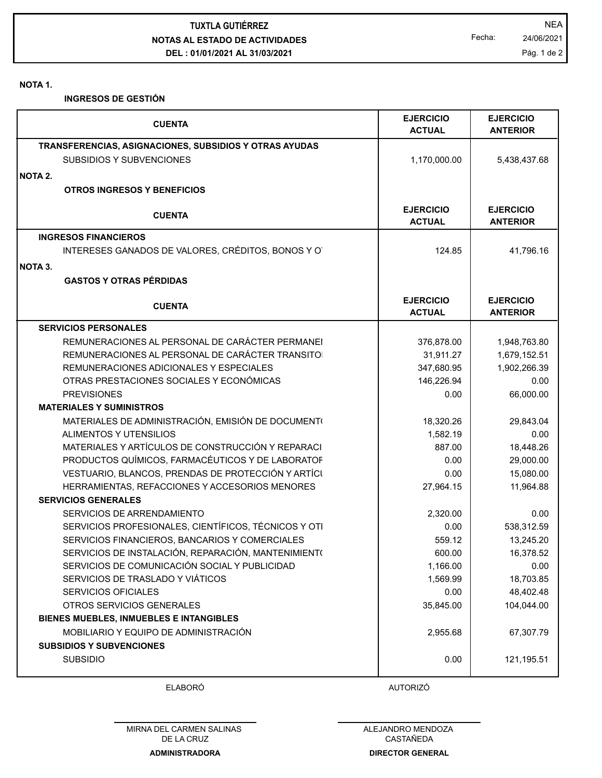**NOTAS AL ESTADO DE ACTIVIDADES DEL : 01/01/2021 AL 31/03/2021 TUXTLA GUTIÉRREZ** NEA

Fecha: 24/06/2021 Pág. 1 de 2

**NOTA 1.**

**INGRESOS DE GESTIÓN**

| <b>CUENTA</b>                                          | <b>EJERCICIO</b><br><b>ACTUAL</b> | <b>EJERCICIO</b><br><b>ANTERIOR</b> |
|--------------------------------------------------------|-----------------------------------|-------------------------------------|
| TRANSFERENCIAS, ASIGNACIONES, SUBSIDIOS Y OTRAS AYUDAS |                                   |                                     |
| <b>SUBSIDIOS Y SUBVENCIONES</b>                        | 1,170,000.00                      | 5,438,437.68                        |
| <b>NOTA 2.</b>                                         |                                   |                                     |
| <b>OTROS INGRESOS Y BENEFICIOS</b>                     |                                   |                                     |
| <b>CUENTA</b>                                          | <b>EJERCICIO</b><br><b>ACTUAL</b> | <b>EJERCICIO</b><br><b>ANTERIOR</b> |
| <b>INGRESOS FINANCIEROS</b>                            |                                   |                                     |
| INTERESES GANADOS DE VALORES, CRÉDITOS, BONOS Y O      | 124.85                            | 41,796.16                           |
| NOTA 3.                                                |                                   |                                     |
| <b>GASTOS Y OTRAS PÉRDIDAS</b>                         |                                   |                                     |
| <b>CUENTA</b>                                          | <b>EJERCICIO</b><br><b>ACTUAL</b> | <b>EJERCICIO</b><br><b>ANTERIOR</b> |
| <b>SERVICIOS PERSONALES</b>                            |                                   |                                     |
| REMUNERACIONES AL PERSONAL DE CARÁCTER PERMANEI        | 376,878.00                        | 1,948,763.80                        |
| REMUNERACIONES AL PERSONAL DE CARÁCTER TRANSITO        | 31,911.27                         | 1,679,152.51                        |
| REMUNERACIONES ADICIONALES Y ESPECIALES                | 347,680.95                        | 1,902,266.39                        |
| OTRAS PRESTACIONES SOCIALES Y ECONÓMICAS               | 146,226.94                        | 0.00                                |
| <b>PREVISIONES</b>                                     | 0.00                              | 66,000.00                           |
| <b>MATERIALES Y SUMINISTROS</b>                        |                                   |                                     |
| MATERIALES DE ADMINISTRACIÓN, EMISIÓN DE DOCUMENTO     | 18,320.26                         | 29,843.04                           |
| ALIMENTOS Y UTENSILIOS                                 | 1,582.19                          | 0.00                                |
| MATERIALES Y ARTÍCULOS DE CONSTRUCCIÓN Y REPARACI      | 887.00                            | 18,448.26                           |
| PRODUCTOS QUÍMICOS, FARMACÉUTICOS Y DE LABORATOF       | 0.00                              | 29,000.00                           |
| VESTUARIO, BLANCOS, PRENDAS DE PROTECCIÓN Y ARTÍCI     | 0.00                              | 15,080.00                           |
| HERRAMIENTAS, REFACCIONES Y ACCESORIOS MENORES         | 27,964.15                         | 11,964.88                           |
| <b>SERVICIOS GENERALES</b>                             |                                   |                                     |
| SERVICIOS DE ARRENDAMIENTO                             | 2,320.00                          | 0.00                                |
| SERVICIOS PROFESIONALES, CIENTÍFICOS, TÉCNICOS Y OTI   | 0.00                              | 538,312.59                          |
| SERVICIOS FINANCIEROS, BANCARIOS Y COMERCIALES         | 559.12                            | 13,245.20                           |
| SERVICIOS DE INSTALACIÓN, REPARACIÓN, MANTENIMIENT(    | 600.00                            | 16,378.52                           |
| SERVICIOS DE COMUNICACIÓN SOCIAL Y PUBLICIDAD          | 1,166.00                          | 0.00                                |
| SERVICIOS DE TRASLADO Y VIÁTICOS                       | 1,569.99                          | 18,703.85                           |
| <b>SERVICIOS OFICIALES</b>                             | 0.00                              | 48,402.48                           |
| OTROS SERVICIOS GENERALES                              | 35,845.00                         | 104,044.00                          |
| <b>BIENES MUEBLES, INMUEBLES E INTANGIBLES</b>         |                                   |                                     |
| MOBILIARIO Y EQUIPO DE ADMINISTRACIÓN                  | 2,955.68                          | 67,307.79                           |
| <b>SUBSIDIOS Y SUBVENCIONES</b>                        |                                   |                                     |
| <b>SUBSIDIO</b>                                        | 0.00                              | 121,195.51                          |
| <b>ELABORÓ</b>                                         | <b>AUTORIZÓ</b>                   |                                     |

ALEJANDRO MENDOZA CASTAÑEDA **DIRECTOR GENERAL**